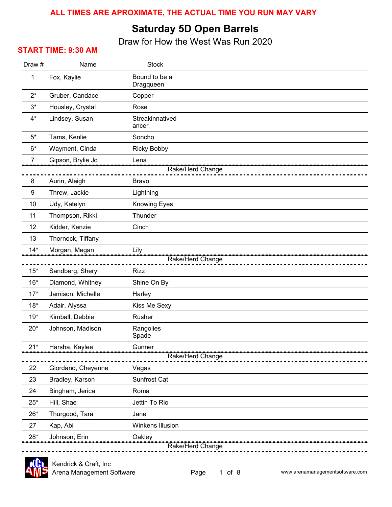#### **ALL TIMES ARE APROXIMATE, THE ACTUAL TIME YOU RUN MAY VARY**

#### **Saturday 5D Open Barrels**

Draw for How the West Was Run 2020

#### **START TIME: 9:30 AM**

| Name               | <b>Stock</b>                                                                          |  |  |
|--------------------|---------------------------------------------------------------------------------------|--|--|
| Fox, Kaylie        | Bound to be a<br>Dragqueen                                                            |  |  |
| Gruber, Candace    | Copper                                                                                |  |  |
| Housley, Crystal   | Rose                                                                                  |  |  |
| Lindsey, Susan     | Streakinnatived<br>ancer                                                              |  |  |
| Tams, Kenlie       | Soncho                                                                                |  |  |
| Wayment, Cinda     | <b>Ricky Bobby</b>                                                                    |  |  |
| Gipson, Brylie Jo  | Lena                                                                                  |  |  |
|                    | Rake/Herd Change                                                                      |  |  |
|                    | <b>Bravo</b>                                                                          |  |  |
|                    | Lightning                                                                             |  |  |
|                    | <b>Knowing Eyes</b>                                                                   |  |  |
|                    | Thunder                                                                               |  |  |
| Kidder, Kenzie     | Cinch                                                                                 |  |  |
| Thornock, Tiffany  |                                                                                       |  |  |
| Morgan, Megan      | Lily                                                                                  |  |  |
|                    | Rake/Herd Change                                                                      |  |  |
|                    | <b>Rizz</b>                                                                           |  |  |
| Diamond, Whitney   | Shine On By                                                                           |  |  |
| Jamison, Michelle  | Harley                                                                                |  |  |
| Adair, Alyssa      | Kiss Me Sexy                                                                          |  |  |
| Kimball, Debbie    | Rusher                                                                                |  |  |
| Johnson, Madison   | Rangolies<br>Spade                                                                    |  |  |
| Harsha, Kaylee     | Gunner                                                                                |  |  |
| Rake/Herd Change   |                                                                                       |  |  |
| Giordano, Cheyenne | Vegas                                                                                 |  |  |
| Bradley, Karson    | Sunfrost Cat                                                                          |  |  |
| Bingham, Jerica    | Roma                                                                                  |  |  |
| Hill, Shae         | Jettin To Rio                                                                         |  |  |
| Thurgood, Tara     | Jane                                                                                  |  |  |
| Kap, Abi           | Winkens Illusion                                                                      |  |  |
| Johnson, Erin      | Oakley                                                                                |  |  |
|                    | Aurin, Aleigh<br>Threw, Jackie<br>Udy, Katelyn<br>Thompson, Rikki<br>Sandberg, Sheryl |  |  |

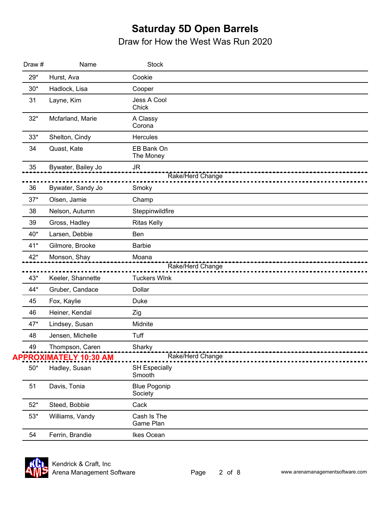| Draw # | Name                                                   | <b>Stock</b>                        |
|--------|--------------------------------------------------------|-------------------------------------|
| $29*$  | Hurst, Ava                                             | Cookie                              |
| $30*$  | Hadlock, Lisa                                          | Cooper                              |
| 31     | Layne, Kim                                             | Jess A Cool<br>Chick                |
| $32*$  | Mcfarland, Marie                                       | A Classy<br>Corona                  |
| $33*$  | Shelton, Cindy                                         | <b>Hercules</b>                     |
| 34     | Quast, Kate                                            | EB Bank On<br>The Money             |
| 35     | Bywater, Bailey Jo                                     | JR                                  |
|        |                                                        | Rake/Herd Change                    |
| 36     | Bywater, Sandy Jo                                      | Smoky                               |
| $37*$  | Olsen, Jamie                                           | Champ                               |
| 38     | Nelson, Autumn                                         | Steppinwildfire                     |
| 39     | Gross, Hadley                                          | <b>Ritas Kelly</b>                  |
| 40*    | Larsen, Debbie                                         | Ben                                 |
| $41*$  | Gilmore, Brooke                                        | <b>Barbie</b>                       |
| $42*$  | Monson, Shay                                           | Moana                               |
|        |                                                        | Rake/Herd Change                    |
| $43*$  | Keeler, Shannette                                      | <b>Tuckers WInk</b>                 |
| 44*    | Gruber, Candace                                        | Dollar                              |
| 45     | Fox, Kaylie                                            | Duke                                |
| 46     | Heiner, Kendal                                         | Zig                                 |
| 47*    | Lindsey, Susan                                         | Midnite                             |
| 48     | Jensen, Michelle                                       | Tuff                                |
| 49     | Thompson, Caren<br>Caren Sharky<br>------------------- | ,,,,,,,,,,,,,,,,,,,,,,,,,,,,,,,,,,, |
|        | APPROXIMATELY 10:30 AM                                 | Rake/Herd Change                    |
| $50*$  | Hadley, Susan                                          | <b>SH Especially</b><br>Smooth      |
| 51     | Davis, Tonia                                           | <b>Blue Pogonip</b><br>Society      |
| $52*$  | Steed, Bobbie                                          | Cack                                |
| $53*$  | Williams, Vandy                                        | Cash Is The<br>Game Plan            |
| 54     | Ferrin, Brandie                                        | Ikes Ocean                          |

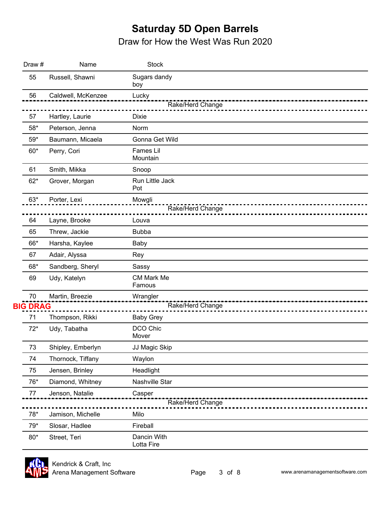| Draw #          | Name               | <b>Stock</b>                 |  |
|-----------------|--------------------|------------------------------|--|
| 55              | Russell, Shawni    | Sugars dandy<br>boy          |  |
| 56              | Caldwell, McKenzee | Lucky<br>Rake/Herd Change    |  |
| 57              | Hartley, Laurie    | <b>Dixie</b>                 |  |
| $58*$           | Peterson, Jenna    | Norm                         |  |
| $59*$           | Baumann, Micaela   | Gonna Get Wild               |  |
| $60*$           | Perry, Cori        | <b>Fames Lil</b><br>Mountain |  |
| 61              | Smith, Mikka       | Snoop                        |  |
| $62*$           | Grover, Morgan     | Run Little Jack<br>Pot       |  |
| $63*$           | Porter, Lexi       | Mowgli<br>Rake/Herd Change   |  |
| 64              | Layne, Brooke      | Louva                        |  |
| 65              | Threw, Jackie      | <b>Bubba</b>                 |  |
| 66*             | Harsha, Kaylee     | Baby                         |  |
| 67              | Adair, Alyssa      | Rey                          |  |
| 68*             | Sandberg, Sheryl   | Sassy                        |  |
| 69              | Udy, Katelyn       | <b>CM Mark Me</b><br>Famous  |  |
| 70              | Martin, Breezie    | Wrangler                     |  |
| <b>BIG DRAG</b> |                    | Rake/Herd Change             |  |
| 71              | Thompson, Rikki    | <b>Baby Grey</b>             |  |
| $72*$           | Udy, Tabatha       | DCO Chic<br>Mover            |  |
| 73              | Shipley, Emberlyn  | JJ Magic Skip                |  |
| 74              | Thornock, Tiffany  | Waylon                       |  |
| 75              | Jensen, Brinley    | Headlight                    |  |
| 76*             | Diamond, Whitney   | Nashville Star               |  |
| 77              | Jenson, Natalie    | Casper<br>Rake/Herd Change   |  |
| $78^{\ast}$     | Jamison, Michelle  | Milo                         |  |
| 79*             | Slosar, Hadlee     | Fireball                     |  |
| $80*$           | Street, Teri       | Dancin With<br>Lotta Fire    |  |

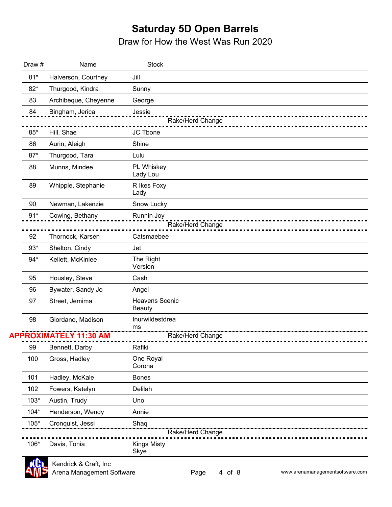| Draw # | Name                       | <b>Stock</b>                    |
|--------|----------------------------|---------------------------------|
| $81*$  | Halverson, Courtney        | Jill                            |
| $82*$  | Thurgood, Kindra           | Sunny                           |
| 83     | Archibeque, Cheyenne       | George                          |
| 84     | Bingham, Jerica            | Jessie                          |
|        |                            | Rake/Herd Change                |
| 85*    | Hill, Shae                 | JC Tbone                        |
| 86     | Aurin, Aleigh              | Shine                           |
| $87*$  | Thurgood, Tara             | Lulu                            |
| 88     | Munns, Mindee              | PL Whiskey<br>Lady Lou          |
| 89     | Whipple, Stephanie         | R Ikes Foxy<br>Lady             |
| 90     | Newman, Lakenzie           | Snow Lucky                      |
| $91*$  | Cowing, Bethany            | Runnin Joy                      |
|        |                            | Rake/Herd Change                |
| 92     | Thornock, Karsen           | Catsmaebee                      |
| $93*$  | Shelton, Cindy             | Jet                             |
| $94*$  | Kellett, McKinlee          | The Right<br>Version            |
| 95     | Housley, Steve             | Cash                            |
| 96     | Bywater, Sandy Jo          | Angel                           |
| 97     | Street, Jemima             | Heavens Scenic<br><b>Beauty</b> |
| 98     | Giordano, Madison          | Inurwildestdrea                 |
|        | <b>ROXIMATELY 11:30 AM</b> | ms<br>Rake/Herd Change          |
|        |                            |                                 |
| 99     | Bennett, Darby             | Rafiki                          |
| 100    | Gross, Hadley              | One Royal<br>Corona             |
| 101    | Hadley, McKale             | <b>Bones</b>                    |
| 102    | Fowers, Katelyn            | Delilah                         |
| $103*$ | Austin, Trudy              | Uno                             |
| $104*$ | Henderson, Wendy           | Annie                           |
| 105*   | Cronquist, Jessi           | Shaq                            |
|        |                            | Rake/Herd Change                |
| 106*   | Davis, Tonia               | Kings Misty<br>Skye             |
|        |                            |                                 |

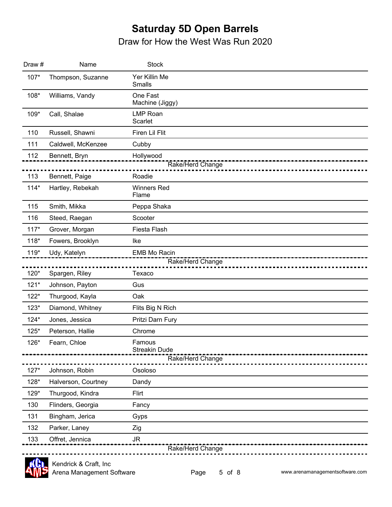Draw for How the West Was Run 2020

| Draw#  | Name                | <b>Stock</b>                   |
|--------|---------------------|--------------------------------|
| 107*   | Thompson, Suzanne   | Yer Killin Me<br>Smalls        |
| 108*   | Williams, Vandy     | One Fast<br>Machine (Jiggy)    |
| 109*   | Call, Shalae        | <b>LMP Roan</b><br>Scarlet     |
| 110    | Russell, Shawni     | Firen Lil Flit                 |
| 111    | Caldwell, McKenzee  | Cubby                          |
| 112    | Bennett, Bryn       | Hollywood                      |
|        |                     | Rake/Herd Change               |
| 113    | Bennett, Paige      | Roadie                         |
| $114*$ | Hartley, Rebekah    | <b>Winners Red</b><br>Flame    |
| 115    | Smith, Mikka        | Peppa Shaka                    |
| 116    | Steed, Raegan       | Scooter                        |
| $117*$ | Grover, Morgan      | Fiesta Flash                   |
| $118*$ | Fowers, Brooklyn    | Ike                            |
| $119*$ | Udy, Katelyn        | <b>EMB Mo Racin</b>            |
|        |                     | Rake/Herd Change               |
| 120*   | Spargen, Riley      | Texaco                         |
| $121*$ | Johnson, Payton     | Gus                            |
| $122*$ | Thurgood, Kayla     | Oak                            |
| $123*$ | Diamond, Whitney    | Flits Big N Rich               |
| $124*$ | Jones, Jessica      | Pritzi Darn Fury               |
| $125*$ | Peterson, Hallie    | Chrome                         |
| 126*   | Fearn, Chloe        | Famous<br><b>Streakin Dude</b> |
|        |                     | Rake/Herd Change               |
| $127*$ | Johnson, Robin      | Osoloso                        |
| 128*   | Halverson, Courtney | Dandy                          |
| 129*   | Thurgood, Kindra    | Flirt                          |
| 130    | Flinders, Georgia   | Fancy                          |
| 131    | Bingham, Jerica     | Gyps                           |
| 132    | Parker, Laney       | Zig                            |
| 133    | Offret, Jennica     | <b>JR</b>                      |
|        |                     | Rake/Herd Change               |



Arena Management Software Kendrick & Craft, Inc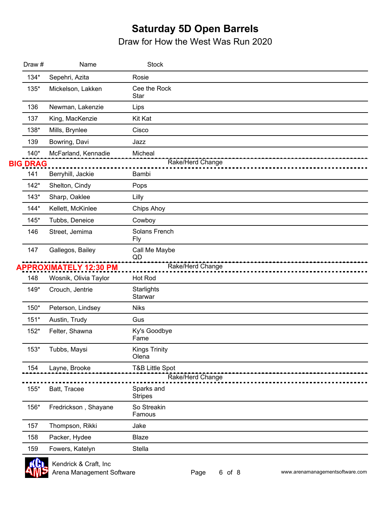| Draw #          | Name                          | <b>Stock</b>                  |
|-----------------|-------------------------------|-------------------------------|
| $134*$          | Sepehri, Azita                | Rosie                         |
| 135*            | Mickelson, Lakken             | Cee the Rock<br>Star          |
| 136             | Newman, Lakenzie              | Lips                          |
| 137             | King, MacKenzie               | Kit Kat                       |
| 138*            | Mills, Brynlee                | Cisco                         |
| 139             | Bowring, Davi                 | Jazz                          |
| $140*$          | McFarland, Kennadie           | Micheal                       |
| <b>BIG DRAG</b> |                               | Rake/Herd Change              |
| 141             | Berryhill, Jackie             | Bambi                         |
| $142*$          | Shelton, Cindy                | Pops                          |
| $143*$          | Sharp, Oaklee                 | Lilly                         |
| $144*$          | Kellett, McKinlee             | Chips Ahoy                    |
| $145*$          | Tubbs, Deneice                | Cowboy                        |
| 146             | Street, Jemima                | Solans French<br><b>Fly</b>   |
| 147             | Gallegos, Bailey              | Call Me Maybe<br>QD           |
|                 | <b>APPROXIMATELY 12:30 PM</b> | Rake/Herd Change              |
| 148             | Wosnik, Olivia Taylor         | Hot Rod                       |
| $149*$          | Crouch, Jentrie               | Starlights<br>Starwar         |
| 150*            | Peterson, Lindsey             | <b>Niks</b>                   |
| $151*$          | Austin, Trudy                 | Gus                           |
| $152*$          | Felter, Shawna                | Ky's Goodbye<br>Fame          |
| $153*$          | Tubbs, Maysi                  | <b>Kings Trinity</b><br>Olena |
| 154             | Layne, Brooke                 | <b>T&amp;B Little Spot</b>    |
|                 |                               | Rake/Herd Change              |
| 155*            | Batt, Tracee                  | Sparks and<br><b>Stripes</b>  |
| 156*            | Fredrickson, Shayane          | So Streakin<br>Famous         |
| 157             | Thompson, Rikki               | Jake                          |
| 158             | Packer, Hydee                 | <b>Blaze</b>                  |
| 159             | Fowers, Katelyn               | Stella                        |
|                 |                               |                               |

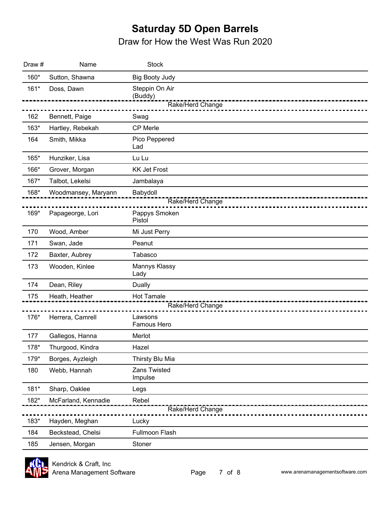| Draw # | Name                | <b>Stock</b>                                  |
|--------|---------------------|-----------------------------------------------|
| 160*   | Sutton, Shawna      | <b>Big Booty Judy</b>                         |
| $161*$ | Doss, Dawn          | Steppin On Air<br>(Buddy)<br>Rake/Herd Change |
|        |                     |                                               |
| 162    | Bennett, Paige      | Swag                                          |
| 163*   | Hartley, Rebekah    | <b>CP Merle</b>                               |
| 164    | Smith, Mikka        | Pico Peppered<br>Lad                          |
| 165*   | Hunziker, Lisa      | Lu Lu                                         |
| 166*   | Grover, Morgan      | <b>KK Jet Frost</b>                           |
| 167*   | Talbot, Lekelsi     | Jambalaya                                     |
| 168*   | Woodmansey, Maryann | Babydoll<br>Rake/Herd Change                  |
| 169*   | Papageorge, Lori    | Pappys Smoken<br>Pistol                       |
| 170    | Wood, Amber         | Mi Just Perry                                 |
| 171    | Swan, Jade          | Peanut                                        |
| 172    | Baxter, Aubrey      | Tabasco                                       |
| 173    | Wooden, Kinlee      | Mannys Klassy<br>Lady                         |
| 174    | Dean, Riley         | Dually                                        |
| 175    | Heath, Heather      | <b>Hot Tamale</b>                             |
|        |                     | Rake/Herd Change                              |
| 176*   | Herrera, Camrell    | Lawsons<br>Famous Hero                        |
| 177    | Gallegos, Hanna     | Merlot                                        |
| 178*   | Thurgood, Kindra    | Hazel                                         |
| 179*   | Borges, Ayzleigh    | Thirsty Blu Mia                               |
| 180    | Webb, Hannah        | Zans Twisted<br>Impulse                       |
| $181*$ | Sharp, Oaklee       | Legs                                          |
| 182*   | McFarland, Kennadie | Rebel                                         |
|        |                     | Rake/Herd Change                              |
| 183*   | Hayden, Meghan      | Lucky                                         |
| 184    | Beckstead, Chelsi   | Fullmoon Flash                                |
| 185    | Jensen, Morgan      | Stoner                                        |